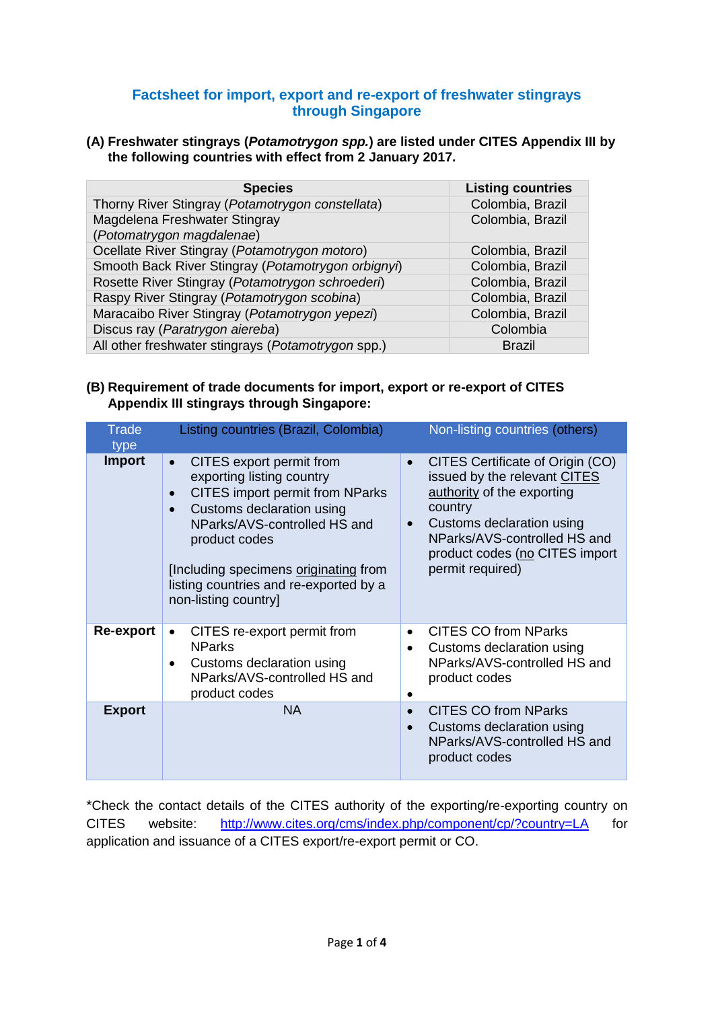### **Factsheet for import, export and re-export of freshwater stingrays through Singapore**

#### **(A) Freshwater stingrays (***Potamotrygon spp.***) are listed under CITES Appendix III by the following countries with effect from 2 January 2017.**

| <b>Species</b>                                     | <b>Listing countries</b> |
|----------------------------------------------------|--------------------------|
| Thorny River Stingray (Potamotrygon constellata)   | Colombia, Brazil         |
| Magdelena Freshwater Stingray                      | Colombia, Brazil         |
| (Potomatrygon magdalenae)                          |                          |
| Ocellate River Stingray (Potamotrygon motoro)      | Colombia, Brazil         |
| Smooth Back River Stingray (Potamotrygon orbignyi) | Colombia, Brazil         |
| Rosette River Stingray (Potamotrygon schroederi)   | Colombia, Brazil         |
| Raspy River Stingray (Potamotrygon scobina)        | Colombia, Brazil         |
| Maracaibo River Stingray (Potamotrygon yepezi)     | Colombia, Brazil         |
| Discus ray (Paratrygon aiereba)                    | Colombia                 |
| All other freshwater stingrays (Potamotrygon spp.) | <b>Brazil</b>            |

### **(B) Requirement of trade documents for import, export or re-export of CITES Appendix III stingrays through Singapore:**

| <b>Trade</b><br>type | Listing countries (Brazil, Colombia)                                                                                                                                                                                                                                                                               | Non-listing countries (others)                                                                                                                                                                                                            |
|----------------------|--------------------------------------------------------------------------------------------------------------------------------------------------------------------------------------------------------------------------------------------------------------------------------------------------------------------|-------------------------------------------------------------------------------------------------------------------------------------------------------------------------------------------------------------------------------------------|
| <b>Import</b>        | CITES export permit from<br>$\bullet$<br>exporting listing country<br><b>CITES</b> import permit from NParks<br>Customs declaration using<br>$\bullet$<br>NParks/AVS-controlled HS and<br>product codes<br>[Including specimens originating from<br>listing countries and re-exported by a<br>non-listing country] | CITES Certificate of Origin (CO)<br>$\bullet$<br>issued by the relevant CITES<br>authority of the exporting<br>country<br>Customs declaration using<br>NParks/AVS-controlled HS and<br>product codes (no CITES import<br>permit required) |
| Re-export            | CITES re-export permit from<br><b>NParks</b><br>Customs declaration using<br>NParks/AVS-controlled HS and<br>product codes                                                                                                                                                                                         | <b>CITES CO from NParks</b><br>$\bullet$<br>Customs declaration using<br>NParks/AVS-controlled HS and<br>product codes                                                                                                                    |
| <b>Export</b>        | <b>NA</b>                                                                                                                                                                                                                                                                                                          | <b>CITES CO from NParks</b><br>$\bullet$<br>Customs declaration using<br>$\bullet$<br>NParks/AVS-controlled HS and<br>product codes                                                                                                       |

\*Check the contact details of the CITES authority of the exporting/re-exporting country on CITES website: <http://www.cites.org/cms/index.php/component/cp/?country=LA> for application and issuance of a CITES export/re-export permit or CO.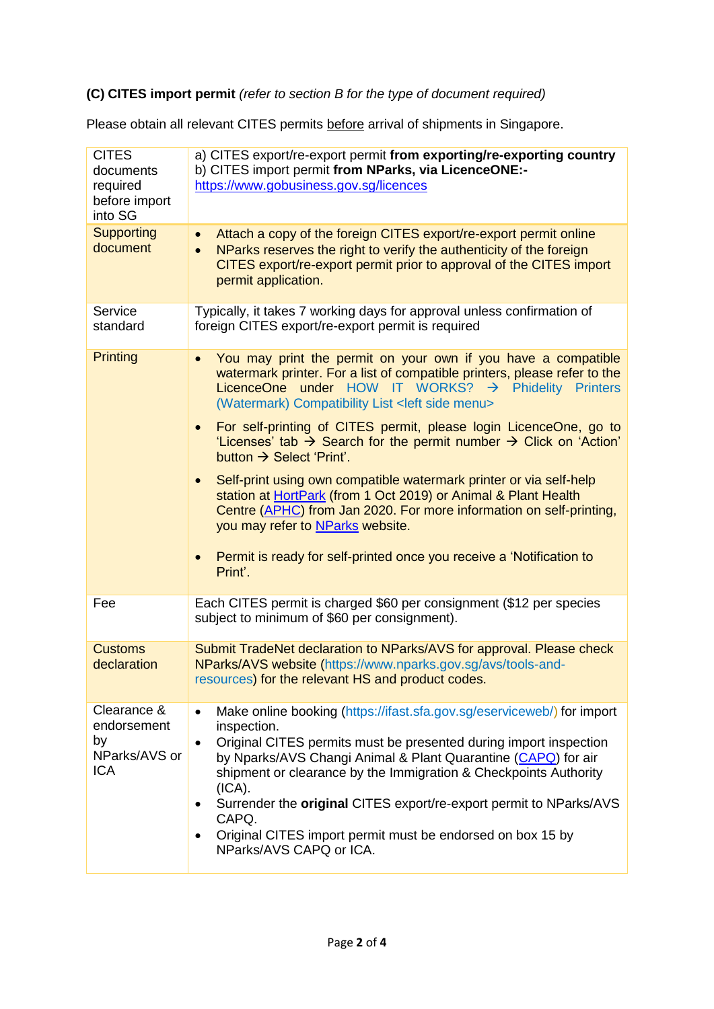# **(C) CITES import permit** *(refer to section B for the type of document required)*

Please obtain all relevant CITES permits before arrival of shipments in Singapore.

| <b>CITES</b><br>documents<br>required<br>before import<br>into SG | a) CITES export/re-export permit from exporting/re-exporting country<br>b) CITES import permit from NParks, via LicenceONE:-<br>https://www.gobusiness.gov.sg/licences                                                                                                                                                                                                                                                                                                                                                        |
|-------------------------------------------------------------------|-------------------------------------------------------------------------------------------------------------------------------------------------------------------------------------------------------------------------------------------------------------------------------------------------------------------------------------------------------------------------------------------------------------------------------------------------------------------------------------------------------------------------------|
| <b>Supporting</b><br>document                                     | Attach a copy of the foreign CITES export/re-export permit online<br>$\bullet$<br>NParks reserves the right to verify the authenticity of the foreign<br>$\bullet$<br>CITES export/re-export permit prior to approval of the CITES import<br>permit application.                                                                                                                                                                                                                                                              |
| Service<br>standard                                               | Typically, it takes 7 working days for approval unless confirmation of<br>foreign CITES export/re-export permit is required                                                                                                                                                                                                                                                                                                                                                                                                   |
| <b>Printing</b>                                                   | You may print the permit on your own if you have a compatible<br>$\bullet$<br>watermark printer. For a list of compatible printers, please refer to the<br>LicenceOne under HOW IT WORKS? $\rightarrow$ Phidelity Printers<br>(Watermark) Compatibility List <left menu="" side=""></left>                                                                                                                                                                                                                                    |
|                                                                   | For self-printing of CITES permit, please login LicenceOne, go to<br>$\bullet$<br>'Licenses' tab $\rightarrow$ Search for the permit number $\rightarrow$ Click on 'Action'<br>button $\rightarrow$ Select 'Print'.                                                                                                                                                                                                                                                                                                           |
|                                                                   | Self-print using own compatible watermark printer or via self-help<br>$\bullet$<br>station at HortPark (from 1 Oct 2019) or Animal & Plant Health<br>Centre (APHC) from Jan 2020. For more information on self-printing,<br>you may refer to NParks website.                                                                                                                                                                                                                                                                  |
|                                                                   | Permit is ready for self-printed once you receive a 'Notification to<br>$\bullet$<br>Print'.                                                                                                                                                                                                                                                                                                                                                                                                                                  |
| Fee                                                               | Each CITES permit is charged \$60 per consignment (\$12 per species<br>subject to minimum of \$60 per consignment).                                                                                                                                                                                                                                                                                                                                                                                                           |
| <b>Customs</b><br>declaration                                     | Submit TradeNet declaration to NParks/AVS for approval. Please check<br>NParks/AVS website (https://www.nparks.gov.sg/avs/tools-and-<br>resources) for the relevant HS and product codes.                                                                                                                                                                                                                                                                                                                                     |
| Clearance &<br>endorsement<br>by<br>NParks/AVS or<br><b>ICA</b>   | Make online booking (https://ifast.sfa.gov.sg/eserviceweb/) for import<br>$\bullet$<br>inspection.<br>Original CITES permits must be presented during import inspection<br>$\bullet$<br>by Nparks/AVS Changi Animal & Plant Quarantine (CAPQ) for air<br>shipment or clearance by the Immigration & Checkpoints Authority<br>(ICA).<br>Surrender the original CITES export/re-export permit to NParks/AVS<br>٠<br>CAPQ.<br>Original CITES import permit must be endorsed on box 15 by<br>$\bullet$<br>NParks/AVS CAPQ or ICA. |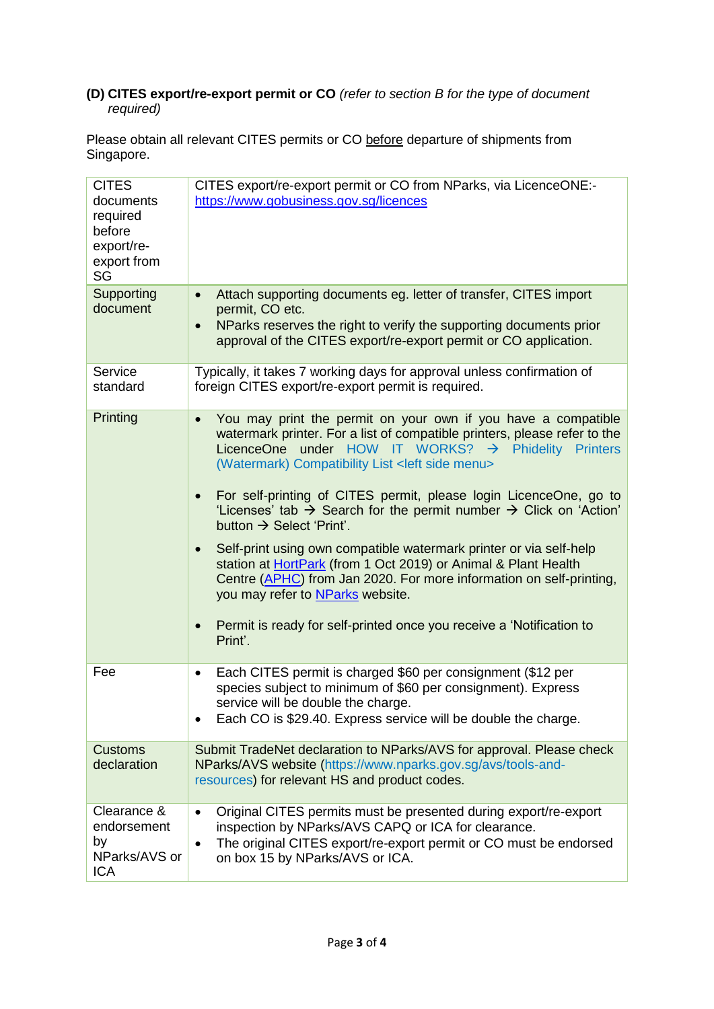## **(D) CITES export/re-export permit or CO** *(refer to section B for the type of document required)*

Please obtain all relevant CITES permits or CO before departure of shipments from Singapore.

| <b>CITES</b><br>documents<br>required<br>before<br>export/re-<br>export from<br>SG | CITES export/re-export permit or CO from NParks, via LicenceONE:-<br>https://www.gobusiness.gov.sg/licences                                                                                                                                                                                                                                                                                                                                                                                                                                                                                                                                                                                                                                                                                                                                                                                                                                                                                                                      |
|------------------------------------------------------------------------------------|----------------------------------------------------------------------------------------------------------------------------------------------------------------------------------------------------------------------------------------------------------------------------------------------------------------------------------------------------------------------------------------------------------------------------------------------------------------------------------------------------------------------------------------------------------------------------------------------------------------------------------------------------------------------------------------------------------------------------------------------------------------------------------------------------------------------------------------------------------------------------------------------------------------------------------------------------------------------------------------------------------------------------------|
| Supporting<br>document                                                             | Attach supporting documents eg. letter of transfer, CITES import<br>$\bullet$<br>permit, CO etc.<br>NParks reserves the right to verify the supporting documents prior<br>$\bullet$<br>approval of the CITES export/re-export permit or CO application.                                                                                                                                                                                                                                                                                                                                                                                                                                                                                                                                                                                                                                                                                                                                                                          |
| Service<br>standard                                                                | Typically, it takes 7 working days for approval unless confirmation of<br>foreign CITES export/re-export permit is required.                                                                                                                                                                                                                                                                                                                                                                                                                                                                                                                                                                                                                                                                                                                                                                                                                                                                                                     |
| Printing                                                                           | You may print the permit on your own if you have a compatible<br>$\bullet$<br>watermark printer. For a list of compatible printers, please refer to the<br>LicenceOne under HOW IT WORKS? $\rightarrow$ Phidelity<br><b>Printers</b><br>(Watermark) Compatibility List <left menu="" side=""><br/>For self-printing of CITES permit, please login LicenceOne, go to<br/><math display="inline">\bullet</math><br/>'Licenses' tab <math>\rightarrow</math> Search for the permit number <math>\rightarrow</math> Click on 'Action'<br/>button <math>\rightarrow</math> Select 'Print'.<br/>Self-print using own compatible watermark printer or via self-help<br/><math display="inline">\bullet</math><br/>station at HortPark (from 1 Oct 2019) or Animal &amp; Plant Health<br/>Centre (APHC) from Jan 2020. For more information on self-printing,<br/>you may refer to NParks website.<br/>Permit is ready for self-printed once you receive a 'Notification to<br/><math display="inline">\bullet</math><br/>Print'.</left> |
| Fee                                                                                | Each CITES permit is charged \$60 per consignment (\$12 per<br>٠<br>species subject to minimum of \$60 per consignment). Express<br>service will be double the charge.<br>Each CO is \$29.40. Express service will be double the charge.                                                                                                                                                                                                                                                                                                                                                                                                                                                                                                                                                                                                                                                                                                                                                                                         |
| <b>Customs</b><br>declaration                                                      | Submit TradeNet declaration to NParks/AVS for approval. Please check<br>NParks/AVS website (https://www.nparks.gov.sg/avs/tools-and-<br>resources) for relevant HS and product codes.                                                                                                                                                                                                                                                                                                                                                                                                                                                                                                                                                                                                                                                                                                                                                                                                                                            |
| Clearance &<br>endorsement<br>by<br>NParks/AVS or<br><b>ICA</b>                    | Original CITES permits must be presented during export/re-export<br>$\bullet$<br>inspection by NParks/AVS CAPQ or ICA for clearance.<br>The original CITES export/re-export permit or CO must be endorsed<br>$\bullet$<br>on box 15 by NParks/AVS or ICA.                                                                                                                                                                                                                                                                                                                                                                                                                                                                                                                                                                                                                                                                                                                                                                        |